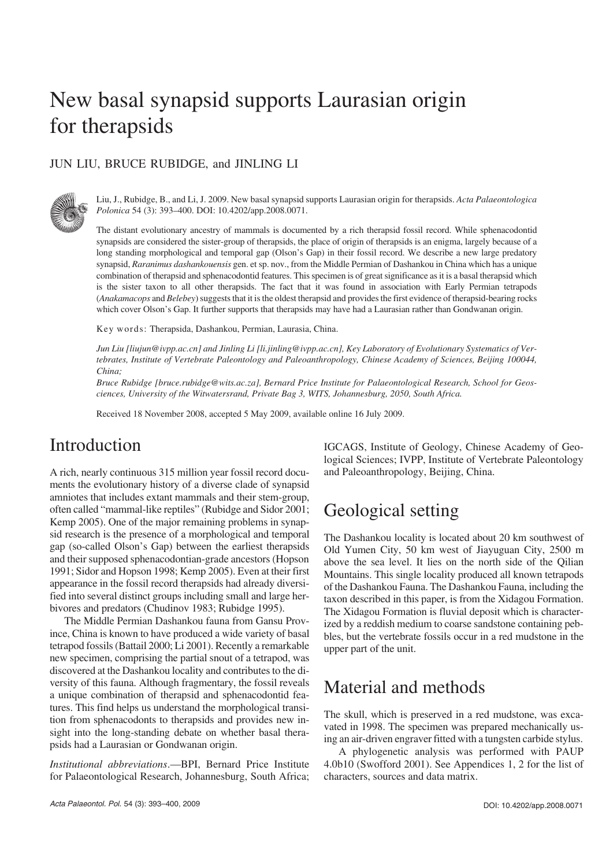# New basal synapsid supports Laurasian origin for therapsids

#### JUN LIU, BRUCE RUBIDGE, and JINLING LI



Liu, J., Rubidge, B., and Li, J. 2009. New basal synapsid supports Laurasian origin for therapsids. *Acta Palaeontologica Polonica* 54 (3): 393–400. DOI: 10.4202/app.2008.0071.

The distant evolutionary ancestry of mammals is documented by a rich therapsid fossil record. While sphenacodontid synapsids are considered the sister−group of therapsids, the place of origin of therapsids is an enigma, largely because of a long standing morphological and temporal gap (Olson's Gap) in their fossil record. We describe a new large predatory synapsid, *Raranimus dashankouensis* gen. et sp. nov., from the Middle Permian of Dashankou in China which has a unique combination of therapsid and sphenacodontid features. This specimen is of great significance asit is a basal therapsid which is the sister taxon to all other therapsids. The fact that it was found in association with Early Permian tetrapods (*Anakamacops* and *Belebey*) suggests that it is the oldest therapsid and provides the first evidence of therapsid−bearing rocks which cover Olson's Gap. It further supports that therapsids may have had a Laurasian rather than Gondwanan origin.

Key words: Therapsida, Dashankou, Permian, Laurasia, China.

*Jun Liu [liujun@ivpp.ac.cn] and Jinling Li [li.jinling@ivpp.ac.cn], Key Laboratory of Evolutionary Systematics of Ver− tebrates, Institute of Vertebrate Paleontology and Paleoanthropology, Chinese Academy of Sciences, Beijing 100044, China;*

*Bruce Rubidge [bruce.rubidge@wits.ac.za], Bernard Price Institute for Palaeontological Research, School for Geos− ciences, University of the Witwatersrand, Private Bag 3, WITS, Johannesburg, 2050, South Africa.*

Received 18 November 2008, accepted 5 May 2009, available online 16 July 2009.

## Introduction

A rich, nearly continuous 315 million year fossil record docu− ments the evolutionary history of a diverse clade of synapsid amniotes that includes extant mammals and their stem−group, often called "mammal−like reptiles" (Rubidge and Sidor 2001; Kemp 2005). One of the major remaining problems in synap− sid research is the presence of a morphological and temporal gap (so−called Olson's Gap) between the earliest therapsids and their supposed sphenacodontian−grade ancestors (Hopson 1991; Sidor and Hopson 1998; Kemp 2005). Even at their first appearance in the fossil record therapsids had already diversi− fied into several distinct groups including small and large her− bivores and predators (Chudinov 1983; Rubidge 1995).

The Middle Permian Dashankou fauna from Gansu Prov− ince, China is known to have produced a wide variety of basal tetrapod fossils (Battail 2000; Li 2001). Recently a remarkable new specimen, comprising the partial snout of a tetrapod, was discovered at the Dashankou locality and contributes to the di− versity of this fauna. Although fragmentary, the fossil reveals a unique combination of therapsid and sphenacodontid fea− tures. This find helps us understand the morphological transi− tion from sphenacodonts to therapsids and provides new in− sight into the long−standing debate on whether basal thera− psids had a Laurasian or Gondwanan origin.

*Institutional abbreviations*.—BPI, Bernard Price Institute for Palaeontological Research, Johannesburg, South Africa; IGCAGS, Institute of Geology, Chinese Academy of Geo− logical Sciences; IVPP, Institute of Vertebrate Paleontology and Paleoanthropology, Beijing, China.

## Geological setting

The Dashankou locality is located about 20 km southwest of Old Yumen City, 50 km west of Jiayuguan City, 2500 m above the sea level. It lies on the north side of the Qilian Mountains. This single locality produced all known tetrapods of the Dashankou Fauna. The Dashankou Fauna, including the taxon described in this paper, is from the Xidagou Formation. The Xidagou Formation is fluvial deposit which is character− ized by a reddish medium to coarse sandstone containing peb− bles, but the vertebrate fossils occur in a red mudstone in the upper part of the unit.

## Material and methods

The skull, which is preserved in a red mudstone, was exca− vated in 1998. The specimen was prepared mechanically us− ing an air−driven engraver fitted with a tungsten carbide stylus.

A phylogenetic analysis was performed with PAUP 4.0b10 (Swofford 2001). See Appendices 1, 2 for the list of characters, sources and data matrix.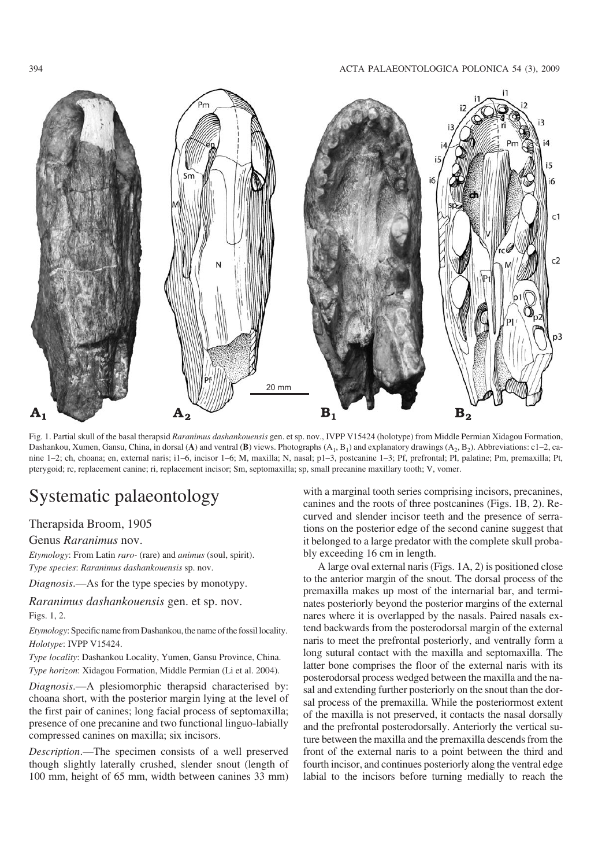

Fig. 1. Partial skull of the basal therapsid *Raranimus dashankouensis* gen. et sp. nov., IVPP V15424 (holotype) from Middle Permian Xidagou Formation, Dashankou, Xumen, Gansu, China, in dorsal (**A**) and ventral (**B**) views. Photographs  $(A_1, B_1)$  and explanatory drawings  $(A_2, B_2)$ . Abbreviations: c1–2, canine 1–2; ch, choana; en, external naris; i1–6, incisor 1–6; M, maxilla; N, nasal; p1–3, postcanine 1–3; Pf, prefrontal; Pl, palatine; Pm, premaxilla; Pt, pterygoid; rc, replacement canine; ri, replacement incisor; Sm, septomaxilla; sp, small precanine maxillary tooth; V, vomer.

# Systematic palaeontology

#### Therapsida Broom, 1905

#### Genus *Raranimus* nov.

*Etymology*: From Latin *raro−* (rare) and *animus* (soul, spirit).

*Type species*: *Raranimus dashankouensis* sp. nov.

*Diagnosis*.—As for the type species by monotypy.

*Raranimus dashankouensis* gen. et sp. nov. Figs. 1, 2.

*Etymology*: Specific name from Dashankou, the name of the fossil locality. *Holotype*: IVPP V15424.

*Type locality*: Dashankou Locality, Yumen, Gansu Province, China. *Type horizon*: Xidagou Formation, Middle Permian (Li et al. 2004).

*Diagnosis*.—A plesiomorphic therapsid characterised by: choana short, with the posterior margin lying at the level of the first pair of canines; long facial process of septomaxilla; presence of one precanine and two functional linguo−labially compressed canines on maxilla; six incisors.

*Description*.—The specimen consists of a well preserved though slightly laterally crushed, slender snout (length of 100 mm, height of 65 mm, width between canines 33 mm)

with a marginal tooth series comprising incisors, precanines, canines and the roots of three postcanines (Figs. 1B, 2). Re− curved and slender incisor teeth and the presence of serra− tions on the posterior edge of the second canine suggest that it belonged to a large predator with the complete skull proba− bly exceeding 16 cm in length.

A large oval external naris (Figs. 1A, 2) is positioned close to the anterior margin of the snout. The dorsal process of the premaxilla makes up most of the internarial bar, and termi− nates posteriorly beyond the posterior margins of the external nares where it is overlapped by the nasals. Paired nasals ex− tend backwards from the posterodorsal margin of the external naris to meet the prefrontal posteriorly, and ventrally form a long sutural contact with the maxilla and septomaxilla. The latter bone comprises the floor of the external naris with its posterodorsal process wedged between the maxilla and the na− sal and extending further posteriorly on the snout than the dor− sal process of the premaxilla. While the posteriormost extent of the maxilla is not preserved, it contacts the nasal dorsally and the prefrontal posterodorsally. Anteriorly the vertical su− ture between the maxilla and the premaxilla descends from the front of the external naris to a point between the third and fourth incisor, and continues posteriorly along the ventral edge labial to the incisors before turning medially to reach the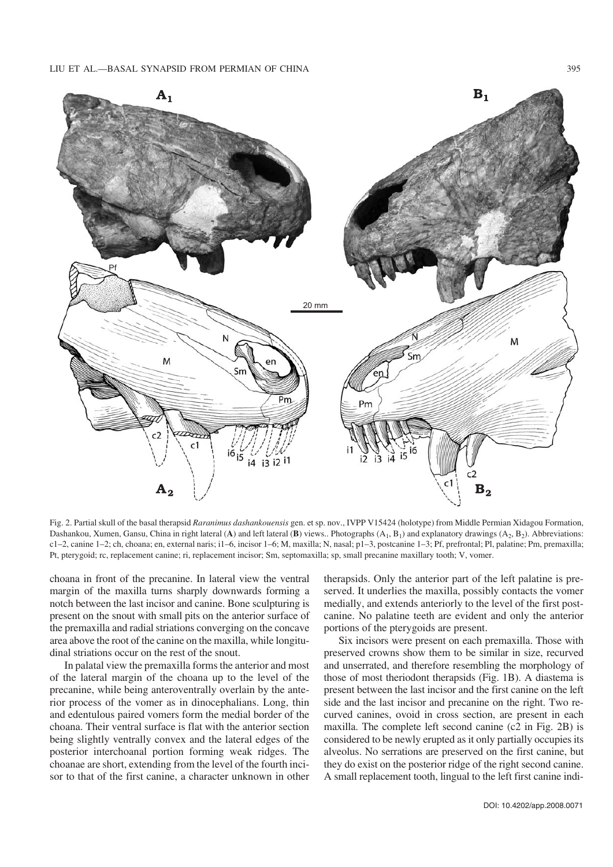

Fig. 2. Partial skull of the basal therapsid *Raranimus dashankouensis* gen. et sp. nov., IVPP V15424 (holotype) from Middle Permian Xidagou Formation, Dashankou, Xumen, Gansu, China in right lateral (A) and left lateral (B) views.. Photographs  $(A_1, B_1)$  and explanatory drawings  $(A_2, B_2)$ . Abbreviations: c1–2, canine 1–2; ch, choana; en, external naris; i1–6, incisor 1–6; M, maxilla; N, nasal; p1–3, postcanine 1–3; Pf, prefrontal; Pl, palatine; Pm, premaxilla; Pt, pterygoid; rc, replacement canine; ri, replacement incisor; Sm, septomaxilla; sp, small precanine maxillary tooth; V, vomer.

choana in front of the precanine. In lateral view the ventral margin of the maxilla turns sharply downwards forming a notch between the last incisor and canine. Bone sculpturing is present on the snout with small pits on the anterior surface of the premaxilla and radial striations converging on the concave area above the root of the canine on the maxilla, while longitu− dinal striations occur on the rest of the snout.

In palatal view the premaxilla forms the anterior and most of the lateral margin of the choana up to the level of the precanine, while being anteroventrally overlain by the ante− rior process of the vomer as in dinocephalians. Long, thin and edentulous paired vomers form the medial border of the choana. Their ventral surface is flat with the anterior section being slightly ventrally convex and the lateral edges of the posterior interchoanal portion forming weak ridges. The choanae are short, extending from the level of the fourth inci− sor to that of the first canine, a character unknown in other therapsids. Only the anterior part of the left palatine is pre− served. It underlies the maxilla, possibly contacts the vomer medially, and extends anteriorly to the level of the first post− canine. No palatine teeth are evident and only the anterior portions of the pterygoids are present.

Six incisors were present on each premaxilla. Those with preserved crowns show them to be similar in size, recurved and unserrated, and therefore resembling the morphology of those of most theriodont therapsids (Fig. 1B). A diastema is present between the last incisor and the first canine on the left side and the last incisor and precanine on the right. Two re− curved canines, ovoid in cross section, are present in each maxilla. The complete left second canine (c2 in Fig. 2B) is considered to be newly erupted as it only partially occupies its alveolus. No serrations are preserved on the first canine, but they do exist on the posterior ridge of the right second canine. A small replacement tooth, lingual to the left first canine indi−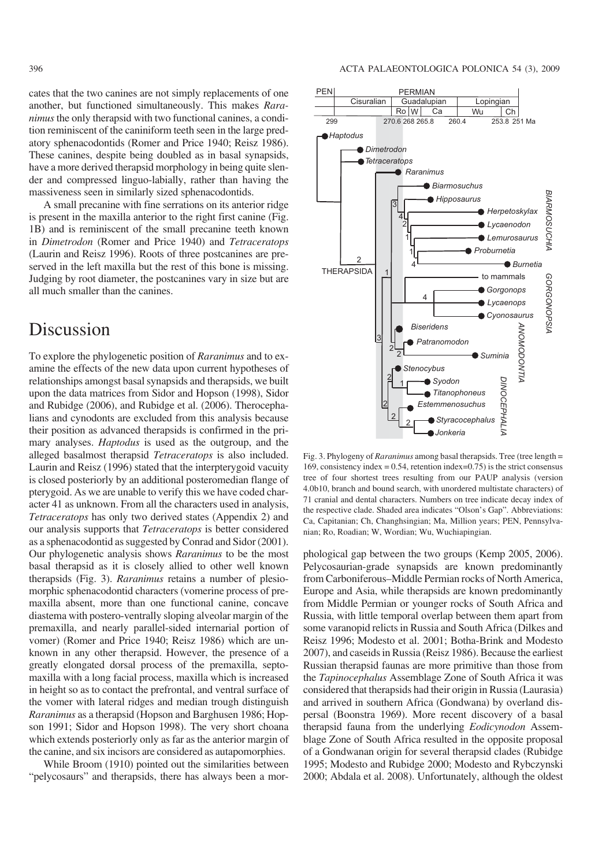cates that the two canines are not simply replacements of one another, but functioned simultaneously. This makes *Rara− nimus* the only therapsid with two functional canines, a condition reminiscent of the caniniform teeth seen in the large pred− atory sphenacodontids (Romer and Price 1940; Reisz 1986). These canines, despite being doubled as in basal synapsids, have a more derived therapsid morphology in being quite slen− der and compressed linguo−labially, rather than having the massiveness seen in similarly sized sphenacodontids.

A small precanine with fine serrations on its anterior ridge is present in the maxilla anterior to the right first canine (Fig. 1B) and is reminiscent of the small precanine teeth known in *Dimetrodon* (Romer and Price 1940) and *Tetraceratops* (Laurin and Reisz 1996). Roots of three postcanines are pre− served in the left maxilla but the rest of this bone is missing. Judging by root diameter, the postcanines vary in size but are all much smaller than the canines.

## Discussion

To explore the phylogenetic position of *Raranimus* and to ex− amine the effects of the new data upon current hypotheses of relationships amongst basal synapsids and therapsids, we built upon the data matrices from Sidor and Hopson (1998), Sidor and Rubidge (2006), and Rubidge et al. (2006). Therocepha− lians and cynodonts are excluded from this analysis because their position as advanced therapsids is confirmed in the pri− mary analyses. *Haptodus* is used as the outgroup, and the alleged basalmost therapsid *Tetraceratops* is also included. Laurin and Reisz (1996) stated that the interpterygoid vacuity is closed posteriorly by an additional posteromedian flange of pterygoid. As we are unable to verify this we have coded char− acter 41 as unknown. From all the characters used in analysis, *Tetraceratops* has only two derived states (Appendix 2) and our analysis supports that *Tetraceratops* is better considered as a sphenacodontid as suggested by Conrad and Sidor (2001). Our phylogenetic analysis shows *Raranimus* to be the most basal therapsid as it is closely allied to other well known therapsids (Fig. 3). *Raranimus* retains a number of plesio− morphic sphenacodontid characters (vomerine process of pre− maxilla absent, more than one functional canine, concave diastema with postero−ventrally sloping alveolar margin of the premaxilla, and nearly parallel−sided internarial portion of vomer) (Romer and Price 1940; Reisz 1986) which are un− known in any other therapsid. However, the presence of a greatly elongated dorsal process of the premaxilla, septo− maxilla with a long facial process, maxilla which is increased in height so as to contact the prefrontal, and ventral surface of the vomer with lateral ridges and median trough distinguish *Raranimus* as a therapsid (Hopson and Barghusen 1986; Hop− son 1991; Sidor and Hopson 1998). The very short choana which extends posteriorly only as far as the anterior margin of the canine, and six incisors are considered as autapomorphies.

While Broom (1910) pointed out the similarities between "pelycosaurs" and therapsids, there has always been a mor−



Fig. 3. Phylogeny of *Raranimus* among basal therapsids. Tree (tree length = 169, consistency index =  $0.54$ , retention index= $0.75$ ) is the strict consensus tree of four shortest trees resulting from our PAUP analysis (version 4.0b10, branch and bound search, with unordered multistate characters) of 71 cranial and dental characters. Numbers on tree indicate decay index of the respective clade. Shaded area indicates "Olson's Gap". Abbreviations: Ca, Capitanian; Ch, Changhsingian; Ma, Million years; PEN, Pennsylva− nian; Ro, Roadian; W, Wordian; Wu, Wuchiapingian.

phological gap between the two groups (Kemp 2005, 2006). Pelycosaurian−grade synapsids are known predominantly from Carboniferous–Middle Permian rocks of North America, Europe and Asia, while therapsids are known predominantly from Middle Permian or younger rocks of South Africa and Russia, with little temporal overlap between them apart from some varanopid relicts in Russia and South Africa (Dilkes and Reisz 1996; Modesto et al. 2001; Botha−Brink and Modesto 2007), and caseids in Russia (Reisz 1986). Because the earliest Russian therapsid faunas are more primitive than those from the *Tapinocephalus* Assemblage Zone of South Africa it was considered that therapsids had their origin in Russia (Laurasia) and arrived in southern Africa (Gondwana) by overland dis− persal (Boonstra 1969). More recent discovery of a basal therapsid fauna from the underlying *Eodicynodon* Assem− blage Zone of South Africa resulted in the opposite proposal of a Gondwanan origin for several therapsid clades (Rubidge 1995; Modesto and Rubidge 2000; Modesto and Rybczynski 2000; Abdala et al. 2008). Unfortunately, although the oldest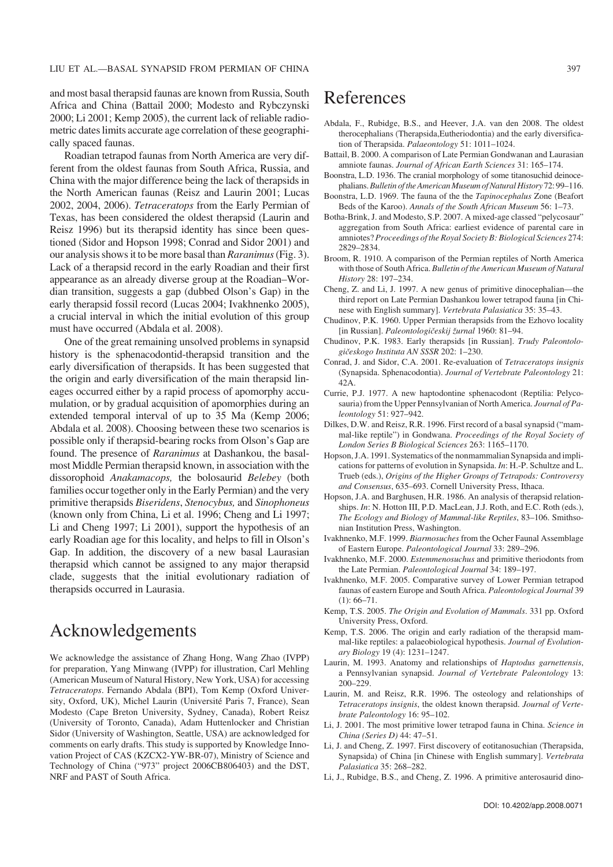and most basal therapsid faunas are known from Russia, South Africa and China (Battail 2000; Modesto and Rybczynski 2000; Li 2001; Kemp 2005), the current lack of reliable radio− metric dates limits accurate age correlation of these geographi− cally spaced faunas.

Roadian tetrapod faunas from North America are very dif− ferent from the oldest faunas from South Africa, Russia, and China with the major difference being the lack of therapsids in the North American faunas (Reisz and Laurin 2001; Lucas 2002, 2004, 2006). *Tetraceratops* from the Early Permian of Texas, has been considered the oldest therapsid (Laurin and Reisz 1996) but its therapsid identity has since been ques− tioned (Sidor and Hopson 1998; Conrad and Sidor 2001) and our analysis shows it to be more basal than *Raranimus*(Fig. 3). Lack of a therapsid record in the early Roadian and their first appearance as an already diverse group at the Roadian–Wor− dian transition, suggests a gap (dubbed Olson's Gap) in the early therapsid fossil record (Lucas 2004; Ivakhnenko 2005), a crucial interval in which the initial evolution of this group must have occurred (Abdala et al. 2008).

One of the great remaining unsolved problems in synapsid history is the sphenacodontid−therapsid transition and the early diversification of therapsids. It has been suggested that the origin and early diversification of the main therapsid lin− eages occurred either by a rapid process of apomorphy accu− mulation, or by gradual acquisition of apomorphies during an extended temporal interval of up to 35 Ma (Kemp 2006; Abdala et al. 2008). Choosing between these two scenarios is possible only if therapsid−bearing rocks from Olson's Gap are found. The presence of *Raranimus* at Dashankou, the basal− most Middle Permian therapsid known, in association with the dissorophoid *Anakamacops,* the bolosaurid *Belebey* (both families occur together only in the Early Permian) and the very primitive therapsids *Biseridens*, *Stenocybus,* and *Sinophoneus* (known only from China, Li et al. 1996; Cheng and Li 1997; Li and Cheng 1997; Li 2001), support the hypothesis of an early Roadian age for this locality, and helps to fill in Olson's Gap. In addition, the discovery of a new basal Laurasian therapsid which cannot be assigned to any major therapsid clade, suggests that the initial evolutionary radiation of therapsids occurred in Laurasia.

## Acknowledgements

We acknowledge the assistance of Zhang Hong, Wang Zhao (IVPP) for preparation, Yang Minwang (IVPP) for illustration, Carl Mehling (American Museum of Natural History, New York, USA) for accessing *Tetraceratops*. Fernando Abdala (BPI), Tom Kemp (Oxford Univer− sity, Oxford, UK), Michel Laurin (Université Paris 7, France), Sean Modesto (Cape Breton University, Sydney, Canada), Robert Reisz (University of Toronto, Canada), Adam Huttenlocker and Christian Sidor (University of Washington, Seattle, USA) are acknowledged for comments on early drafts. This study is supported by Knowledge Inno− vation Project of CAS (KZCX2−YW−BR−07), Ministry of Science and Technology of China ("973" project 2006CB806403) and the DST, NRF and PAST of South Africa.

#### References

- Abdala, F., Rubidge, B.S., and Heever, J.A. van den 2008. The oldest therocephalians (Therapsida,Eutheriodontia) and the early diversifica− tion of Therapsida. *Palaeontology* 51: 1011–1024.
- Battail, B. 2000. A comparison of Late Permian Gondwanan and Laurasian amniote faunas. *Journal of African Earth Sciences* 31: 165–174.
- Boonstra, L.D. 1936. The cranial morphology of some titanosuchid deinoce− phalians.*Bulletin of the American Museum of Natural History* 72: 99–116.
- Boonstra, L.D. 1969. The fauna of the the *Tapinocephalus* Zone (Beafort Beds of the Karoo). *Annals of the South African Museum* 56: 1–73.
- Botha−Brink, J. and Modesto, S.P. 2007. A mixed−age classed "pelycosaur" aggregation from South Africa: earliest evidence of parental care in amniotes? *Proceedings of the Royal Society B: Biological Sciences* 274: 2829–2834.
- Broom, R. 1910. A comparison of the Permian reptiles of North America with those of South Africa. *Bulletin of the American Museum of Natural History* 28: 197–234.
- Cheng, Z. and Li, J. 1997. A new genus of primitive dinocephalian—the third report on Late Permian Dashankou lower tetrapod fauna [in Chi− nese with English summary]. *Vertebrata Palasiatica* 35: 35–43.
- Chudinov, P.K. 1960. Upper Permian therapsids from the Ezhovo locality [in Russian]. *Paleontologičeskij žurnal* 1960: 81–94.
- Chudinov, P.K. 1983. Early therapsids [in Russian]. *Trudy Paleontolo− gičeskogo Instituta AN SSSR* 202: 1–230.
- Conrad, J. and Sidor, C.A. 2001. Re−evaluation of *Tetraceratops insignis* (Synapsida. Sphenacodontia). *Journal of Vertebrate Paleontology* 21: 42A.
- Currie, P.J. 1977. A new haptodontine sphenacodont (Reptilia: Pelyco− sauria) from the Upper Pennsylvanian of North America. *Journal of Pa− leontology* 51: 927–942.
- Dilkes, D.W. and Reisz, R.R. 1996. First record of a basal synapsid ("mam− mal−like reptile") in Gondwana. *Proceedings of the Royal Society of London Series B Biological Sciences* 263: 1165–1170.
- Hopson, J.A. 1991. Systematics of the nonmammalian Synapsida and impli− cations for patterns of evolution in Synapsida. *In*: H.−P. Schultze and L. Trueb (eds.), *Origins of the Higher Groups of Tetrapods: Controversy and Consensus*, 635–693. Cornell University Press, Ithaca.
- Hopson, J.A. and Barghusen, H.R. 1986. An analysis of therapsid relation− ships. *In*: N. Hotton III, P.D. MacLean, J.J. Roth, and E.C. Roth (eds.), *The Ecology and Biology of Mammal−like Reptiles*, 83–106. Smithso− nian Institution Press, Washington.
- Ivakhnenko, M.F. 1999. *Biarmosuches* from the Ocher Faunal Assemblage of Eastern Europe. *Paleontological Journal* 33: 289–296.
- Ivakhnenko, M.F. 2000. *Estemmenosuchus* and primitive theriodonts from the Late Permian. *Paleontological Journal* 34: 189–197.
- Ivakhnenko, M.F. 2005. Comparative survey of Lower Permian tetrapod faunas of eastern Europe and South Africa. *Paleontological Journal* 39  $(1): 66 - 71.$
- Kemp, T.S. 2005. *The Origin and Evolution of Mammals*. 331 pp. Oxford University Press, Oxford.
- Kemp, T.S. 2006. The origin and early radiation of the therapsid mam− mal−like reptiles: a palaeobiological hypothesis. *Journal of Evolution− ary Biology* 19 (4): 1231–1247.
- Laurin, M. 1993. Anatomy and relationships of *Haptodus garnettensis*, a Pennsylvanian synapsid. *Journal of Vertebrate Paleontology* 13: 200–229.
- Laurin, M. and Reisz, R.R. 1996. The osteology and relationships of *Tetraceratops insignis*, the oldest known therapsid. *Journal of Verte− brate Paleontology* 16: 95–102.
- Li, J. 2001. The most primitive lower tetrapod fauna in China. *Science in China (Series D)* 44: 47–51.
- Li, J. and Cheng, Z. 1997. First discovery of eotitanosuchian (Therapsida, Synapsida) of China [in Chinese with English summary]. *Vertebrata Palasiatica* 35: 268–282.
- Li, J., Rubidge, B.S., and Cheng, Z. 1996. A primitive anterosaurid dino−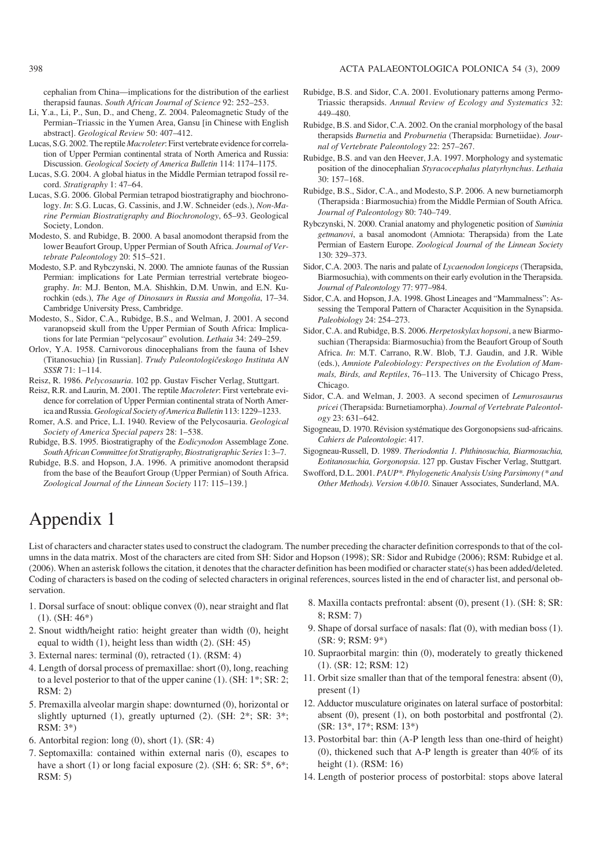cephalian from China—implications for the distribution of the earliest therapsid faunas. *South African Journal of Science* 92: 252–253.

- Li, Y.a., Li, P., Sun, D., and Cheng, Z. 2004. Paleomagnetic Study of the Permian–Triassic in the Yumen Area, Gansu [in Chinese with English abstract]. *Geological Review* 50: 407–412.
- Lucas, S.G. 2002. The reptile *Macroleter*: First vertebrate evidence for correla− tion of Upper Permian continental strata of North America and Russia: Discussion. *Geological Society of America Bulletin* 114: 1174–1175.
- Lucas, S.G. 2004. A global hiatus in the Middle Permian tetrapod fossil re− cord. *Stratigraphy* 1: 47–64.
- Lucas, S.G. 2006. Global Permian tetrapod biostratigraphy and biochrono− logy. *In*: S.G. Lucas, G. Cassinis, and J.W. Schneider (eds.), *Non−Ma− rine Permian Biostratigraphy and Biochronology*, 65–93. Geological Society, London.
- Modesto, S. and Rubidge, B. 2000. A basal anomodont therapsid from the lower Beaufort Group, Upper Permian of South Africa. *Journal of Ver− tebrate Paleontology* 20: 515–521.
- Modesto, S.P. and Rybczynski, N. 2000. The amniote faunas of the Russian Permian: implications for Late Permian terrestrial vertebrate biogeo− graphy. *In*: M.J. Benton, M.A. Shishkin, D.M. Unwin, and E.N. Kurochkin (eds.), *The Age of Dinosaurs in Russia and Mongolia*, 17–34. Cambridge University Press, Cambridge.
- Modesto, S., Sidor, C.A., Rubidge, B.S., and Welman, J. 2001. A second varanopseid skull from the Upper Permian of South Africa: Implica− tions for late Permian "pelycosaur" evolution. *Lethaia* 34: 249–259.
- Orlov, Y.A. 1958. Carnivorous dinocephalians from the fauna of Ishev (Titanosuchia) [in Russian]. *Trudy Paleontologičeskogo Instituta AN SSSR* 71: 1–114.
- Reisz, R. 1986. *Pelycosauria*. 102 pp. Gustav Fischer Verlag, Stuttgart.
- Reisz, R.R. and Laurin, M. 2001. The reptile *Macroleter*: First vertebrate evi− dence for correlation of Upper Permian continental strata of North Amer− ica and Russia.*Geological Society of America Bulletin* 113: 1229–1233.
- Romer, A.S. and Price, L.I. 1940. Review of the Pelycosauria. *Geological Society of America Special papers* 28: 1–538.
- Rubidge, B.S. 1995. Biostratigraphy of the *Eodicynodon* Assemblage Zone. *South African Committee fot Stratigraphy, Biostratigraphic Series* 1: 3–7.
- Rubidge, B.S. and Hopson, J.A. 1996. A primitive anomodont therapsid from the base of the Beaufort Group (Upper Permian) of South Africa. *Zoological Journal of the Linnean Society* 117: 115–139.}
- Rubidge, B.S. and Sidor, C.A. 2001. Evolutionary patterns among Permo− Triassic therapsids. *Annual Review of Ecology and Systematics* 32: 449–480.
- Rubidge, B.S. and Sidor, C.A. 2002. On the cranial morphology of the basal therapsids *Burnetia* and *Proburnetia* (Therapsida: Burnetiidae). *Jour− nal of Vertebrate Paleontology* 22: 257–267.
- Rubidge, B.S. and van den Heever, J.A. 1997. Morphology and systematic position of the dinocephalian *Styracocephalus platyrhynchus*. *Lethaia* 30: 157–168.
- Rubidge, B.S., Sidor, C.A., and Modesto, S.P. 2006. A new burnetiamorph (Therapsida : Biarmosuchia) from the Middle Permian of South Africa. *Journal of Paleontology* 80: 740–749.
- Rybczynski, N. 2000. Cranial anatomy and phylogenetic position of *Suminia getmanovi*, a basal anomodont (Amniota: Therapsida) from the Late Permian of Eastern Europe. *Zoological Journal of the Linnean Society* 130: 329–373.
- Sidor, C.A. 2003. The naris and palate of *Lycaenodon longiceps* (Therapsida, Biarmosuchia), with comments on their early evolution in the Therapsida. *Journal of Paleontology* 77: 977–984.
- Sidor, C.A. and Hopson, J.A. 1998. Ghost Lineages and "Mammalness": As− sessing the Temporal Pattern of Character Acquisition in the Synapsida. *Paleobiology* 24: 254–273.
- Sidor, C.A. and Rubidge, B.S. 2006. *Herpetoskylax hopsoni*, a new Biarmo− suchian (Therapsida: Biarmosuchia) from the Beaufort Group of South Africa. *In*: M.T. Carrano, R.W. Blob, T.J. Gaudin, and J.R. Wible (eds.), *Amniote Paleobiology: Perspectives on the Evolution of Mam− mals, Birds, and Reptiles*, 76–113. The University of Chicago Press, Chicago
- Sidor, C.A. and Welman, J. 2003. A second specimen of *Lemurosaurus pricei* (Therapsida: Burnetiamorpha). *Journal of Vertebrate Paleontol− ogy* 23: 631–642.
- Sigogneau, D. 1970. Révision systématique des Gorgonopsiens sud−africains. *Cahiers de Paleontologie*: 417.
- Sigogneau−Russell, D. 1989. *Theriodontia 1. Phthinosuchia, Biarmosuchia, Eotitanosuchia, Gorgonopsia*. 127 pp. Gustav Fischer Verlag, Stuttgart.
- Swofford, D.L. 2001. *PAUP\*. Phylogenetic Analysis Using Parsimony (\* and Other Methods). Version 4.0b10*. Sinauer Associates, Sunderland, MA.

# Appendix 1

List of characters and character states used to construct the cladogram. The number preceding the character definition corresponds to that of the col− umns in the data matrix. Most of the characters are cited from SH: Sidor and Hopson (1998); SR: Sidor and Rubidge (2006); RSM: Rubidge et al. (2006). When an asterisk follows the citation, it denotes that the character definition has been modified or character state(s) has been added/deleted. Coding of characters is based on the coding of selected characters in original references, sources listed in the end of character list, and personal ob− servation.

- 1. Dorsal surface of snout: oblique convex (0), near straight and flat (1). (SH: 46\*)
- 2. Snout width/height ratio: height greater than width (0), height equal to width (1), height less than width (2). (SH: 45)
- 3. External nares: terminal (0), retracted (1). (RSM: 4)
- 4. Length of dorsal process of premaxillae: short (0), long, reaching to a level posterior to that of the upper canine (1). (SH: 1\*; SR: 2; RSM: 2)
- 5. Premaxilla alveolar margin shape: downturned (0), horizontal or slightly upturned (1), greatly upturned (2). (SH: 2\*; SR: 3\*; RSM: 3\*)
- 6. Antorbital region: long (0), short (1). (SR: 4)
- 7. Septomaxilla: contained within external naris (0), escapes to have a short (1) or long facial exposure (2). (SH: 6; SR: 5\*, 6\*; RSM: 5)
- 8. Maxilla contacts prefrontal: absent (0), present (1). (SH: 8; SR: 8; RSM: 7)
- 9. Shape of dorsal surface of nasals: flat (0), with median boss (1). (SR: 9; RSM: 9\*)
- 10. Supraorbital margin: thin (0), moderately to greatly thickened (1). (SR: 12; RSM: 12)
- 11. Orbit size smaller than that of the temporal fenestra: absent (0), present (1)
- 12. Adductor musculature originates on lateral surface of postorbital: absent (0), present (1), on both postorbital and postfrontal (2). (SR: 13\*, 17\*; RSM: 13\*)
- 13. Postorbital bar: thin (A−P length less than one−third of height) (0), thickened such that A−P length is greater than 40% of its height (1). (RSM: 16)
- 14. Length of posterior process of postorbital: stops above lateral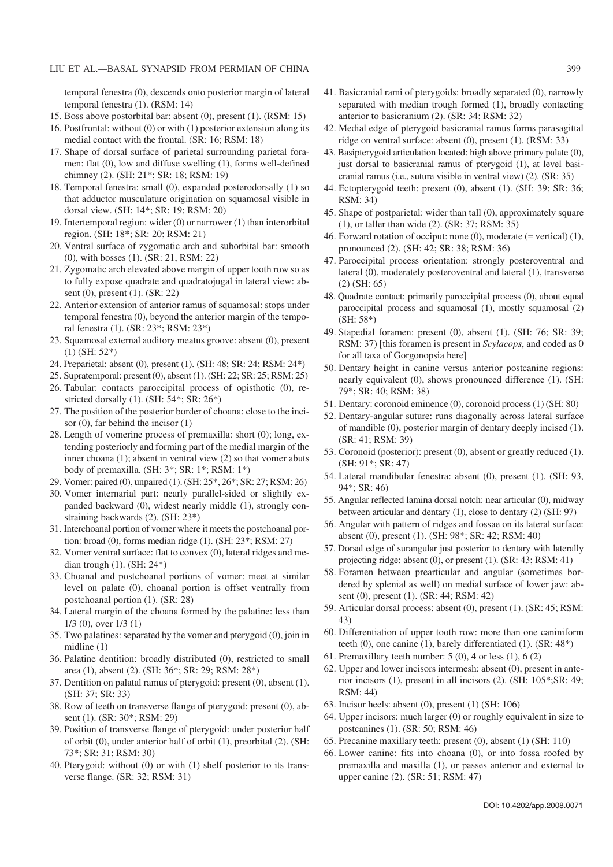temporal fenestra (0), descends onto posterior margin of lateral temporal fenestra (1). (RSM: 14)

- 15. Boss above postorbital bar: absent (0), present (1). (RSM: 15)
- 16. Postfrontal: without (0) or with (1) posterior extension along its medial contact with the frontal. (SR: 16; RSM: 18)
- 17. Shape of dorsal surface of parietal surrounding parietal fora− men: flat (0), low and diffuse swelling (1), forms well−defined chimney (2). (SH: 21\*; SR: 18; RSM: 19)
- 18. Temporal fenestra: small (0), expanded posterodorsally (1) so that adductor musculature origination on squamosal visible in dorsal view. (SH: 14\*; SR: 19; RSM: 20)
- 19. Intertemporal region: wider (0) or narrower (1) than interorbital region. (SH: 18\*; SR: 20; RSM: 21)
- 20. Ventral surface of zygomatic arch and suborbital bar: smooth (0), with bosses (1). (SR: 21, RSM: 22)
- 21. Zygomatic arch elevated above margin of upper tooth row so as to fully expose quadrate and quadratojugal in lateral view: ab− sent (0), present (1). (SR: 22)
- 22. Anterior extension of anterior ramus of squamosal: stops under temporal fenestra (0), beyond the anterior margin of the tempo− ral fenestra (1). (SR: 23\*; RSM: 23\*)
- 23. Squamosal external auditory meatus groove: absent (0), present (1) (SH: 52\*)
- 24. Preparietal: absent (0), present (1). (SH: 48; SR: 24; RSM: 24\*)
- 25. Supratemporal: present (0), absent (1). (SH: 22; SR: 25; RSM: 25)
- 26. Tabular: contacts paroccipital process of opisthotic (0), re− stricted dorsally (1). (SH: 54\*; SR: 26\*)
- 27. The position of the posterior border of choana: close to the inci− sor (0), far behind the incisor (1)
- 28. Length of vomerine process of premaxilla: short (0); long, ex− tending posteriorly and forming part of the medial margin of the inner choana (1); absent in ventral view (2) so that vomer abuts body of premaxilla. (SH: 3\*; SR: 1\*; RSM: 1\*)
- 29. Vomer: paired (0), unpaired (1). (SH: 25\*, 26\*; SR: 27; RSM: 26)
- 30. Vomer internarial part: nearly parallel−sided or slightly ex− panded backward (0), widest nearly middle (1), strongly con− straining backwards (2). (SH: 23\*)
- 31. Interchoanal portion of vomer where it meets the postchoanal por− tion: broad (0), forms median ridge (1). (SH: 23\*; RSM: 27)
- 32. Vomer ventral surface: flat to convex (0), lateral ridges and me− dian trough (1). (SH: 24\*)
- 33. Choanal and postchoanal portions of vomer: meet at similar level on palate (0), choanal portion is offset ventrally from postchoanal portion (1). (SR: 28)
- 34. Lateral margin of the choana formed by the palatine: less than 1/3 (0), over 1/3 (1)
- 35. Two palatines: separated by the vomer and pterygoid (0), join in midline (1)
- 36. Palatine dentition: broadly distributed (0), restricted to small area (1), absent (2). (SH: 36\*; SR: 29; RSM: 28\*)
- 37. Dentition on palatal ramus of pterygoid: present (0), absent (1). (SH: 37; SR: 33)
- 38. Row of teeth on transverse flange of pterygoid: present (0), ab− sent (1). (SR: 30\*; RSM: 29)
- 39. Position of transverse flange of pterygoid: under posterior half of orbit (0), under anterior half of orbit (1), preorbital (2). (SH: 73\*; SR: 31; RSM: 30)
- 40. Pterygoid: without (0) or with (1) shelf posterior to its trans− verse flange. (SR: 32; RSM: 31)
- 41. Basicranial rami of pterygoids: broadly separated (0), narrowly separated with median trough formed (1), broadly contacting anterior to basicranium (2). (SR: 34; RSM: 32)
- 42. Medial edge of pterygoid basicranial ramus forms parasagittal ridge on ventral surface: absent (0), present (1). (RSM: 33)
- 43. Basipterygoid articulation located: high above primary palate (0), just dorsal to basicranial ramus of pterygoid (1), at level basi− cranial ramus (i.e., suture visible in ventral view) (2). (SR: 35)
- 44. Ectopterygoid teeth: present (0), absent (1). (SH: 39; SR: 36; RSM: 34)
- 45. Shape of postparietal: wider than tall (0), approximately square (1), or taller than wide (2). (SR: 37; RSM: 35)
- 46. Forward rotation of occiput: none (0), moderate (= vertical) (1), pronounced (2). (SH: 42; SR: 38; RSM: 36)
- 47. Paroccipital process orientation: strongly posteroventral and lateral (0), moderately posteroventral and lateral (1), transverse (2) (SH: 65)
- 48. Quadrate contact: primarily paroccipital process (0), about equal paroccipital process and squamosal (1), mostly squamosal (2) (SH: 58\*)
- 49. Stapedial foramen: present (0), absent (1). (SH: 76; SR: 39; RSM: 37) [this foramen is present in *Scylacops*, and coded as 0 for all taxa of Gorgonopsia here]
- 50. Dentary height in canine versus anterior postcanine regions: nearly equivalent (0), shows pronounced difference (1). (SH: 79\*; SR: 40; RSM: 38)
- 51. Dentary: coronoid eminence (0), coronoid process (1) (SH: 80)
- 52. Dentary−angular suture: runs diagonally across lateral surface of mandible (0), posterior margin of dentary deeply incised (1). (SR: 41; RSM: 39)
- 53. Coronoid (posterior): present (0), absent or greatly reduced (1). (SH: 91\*; SR: 47)
- 54. Lateral mandibular fenestra: absent (0), present (1). (SH: 93, 94\*; SR: 46)
- 55. Angular reflected lamina dorsal notch: near articular (0), midway between articular and dentary (1), close to dentary (2) (SH: 97)
- 56. Angular with pattern of ridges and fossae on its lateral surface: absent (0), present (1). (SH: 98\*; SR: 42; RSM: 40)
- 57. Dorsal edge of surangular just posterior to dentary with laterally projecting ridge: absent (0), or present (1). (SR: 43; RSM: 41)
- 58. Foramen between prearticular and angular (sometimes bor− dered by splenial as well) on medial surface of lower jaw: ab− sent (0), present (1). (SR: 44; RSM: 42)
- 59. Articular dorsal process: absent (0), present (1). (SR: 45; RSM: 43)
- 60. Differentiation of upper tooth row: more than one caniniform teeth (0), one canine (1), barely differentiated (1). (SR: 48\*)
- 61. Premaxillary teeth number: 5 (0), 4 or less (1), 6 (2)
- 62. Upper and lower incisors intermesh: absent (0), present in ante− rior incisors (1), present in all incisors (2). (SH: 105\*;SR: 49; RSM: 44)
- 63. Incisor heels: absent (0), present (1) (SH: 106)
- 64. Upper incisors: much larger (0) or roughly equivalent in size to postcanines (1). (SR: 50; RSM: 46)
- 65. Precanine maxillary teeth: present (0), absent (1) (SH: 110)
- 66. Lower canine: fits into choana (0), or into fossa roofed by premaxilla and maxilla (1), or passes anterior and external to upper canine (2). (SR: 51; RSM: 47)